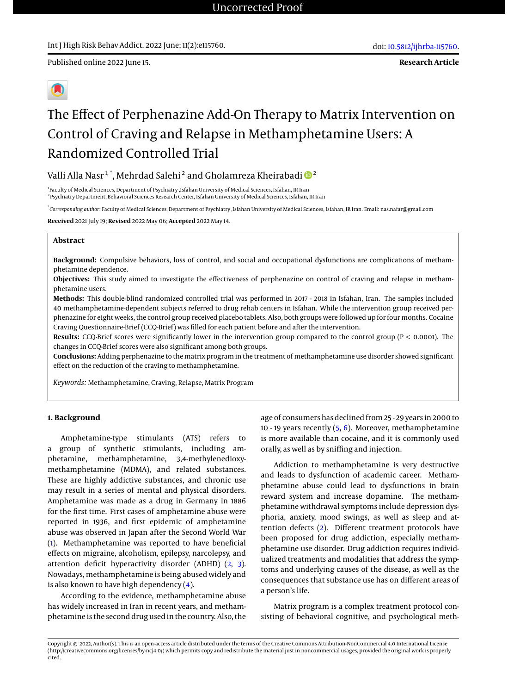**Research Article**

# The Effect of Perphenazine Add-On Therapy to Matrix Intervention on Control of Craving and Relapse in Methamphetamine Users: A Randomized Controlled Trial

# Valli Alla Nasr $^{1, \ast}$ , Mehrdad Salehi $^2$  and Gholamreza Kheirabadi  $\mathbf{D}^2$

<sup>1</sup>Faculty of Medical Sciences, Department of Psychiatry ,Isfahan University of Medical Sciences, Isfahan, IR Iran 2 Psychiatry Department, Behavioral Sciences Research Center, Isfahan University of Medical Sciences, Isfahan, IR Iran

\* *Corresponding author*: Faculty of Medical Sciences, Department of Psychiatry ,Isfahan University of Medical Sciences, Isfahan, IR Iran. Email: nas.nafar@gmail.com

**Received** 2021 July 19; **Revised** 2022 May 06; **Accepted** 2022 May 14.

## **Abstract**

**Background:** Compulsive behaviors, loss of control, and social and occupational dysfunctions are complications of methamphetamine dependence.

**Objectives:** This study aimed to investigate the effectiveness of perphenazine on control of craving and relapse in methamphetamine users.

**Methods:** This double-blind randomized controlled trial was performed in 2017 - 2018 in Isfahan, Iran. The samples included 40 methamphetamine-dependent subjects referred to drug rehab centers in Isfahan. While the intervention group received perphenazine for eight weeks, the control group received placebo tablets. Also, both groups were followed up for four months. Cocaine Craving Questionnaire-Brief (CCQ-Brief) was filled for each patient before and after the intervention.

**Results:** CCQ-Brief scores were significantly lower in the intervention group compared to the control group (P < 0.0001). The changes in CCQ-Brief scores were also significant among both groups.

**Conclusions:** Adding perphenazine to the matrix program in the treatment of methamphetamine use disorder showed significant effect on the reduction of the craving to methamphetamine.

*Keywords:* Methamphetamine, Craving, Relapse, Matrix Program

### **1. Background**

Amphetamine-type stimulants (ATS) refers to a group of synthetic stimulants, including amphetamine, methamphetamine, 3,4-methylenedioxymethamphetamine (MDMA), and related substances. These are highly addictive substances, and chronic use may result in a series of mental and physical disorders. Amphetamine was made as a drug in Germany in 1886 for the first time. First cases of amphetamine abuse were reported in 1936, and first epidemic of amphetamine abuse was observed in Japan after the Second World War [\(1\)](#page-4-0). Methamphetamine was reported to have beneficial effects on migraine, alcoholism, epilepsy, narcolepsy, and attention deficit hyperactivity disorder (ADHD) [\(2,](#page-4-1) [3\)](#page-4-2). Nowadays, methamphetamine is being abused widely and is also known to have high dependency  $(4)$ .

According to the evidence, methamphetamine abuse has widely increased in Iran in recent years, and methamphetamine is the second drug used in the country. Also, the age of consumers has declined from 25 - 29 years in 2000 to 10 - 19 years recently  $(5, 6)$  $(5, 6)$  $(5, 6)$ . Moreover, methamphetamine is more available than cocaine, and it is commonly used orally, as well as by sniffing and injection.

Addiction to methamphetamine is very destructive and leads to dysfunction of academic career. Methamphetamine abuse could lead to dysfunctions in brain reward system and increase dopamine. The methamphetamine withdrawal symptoms include depression dysphoria, anxiety, mood swings, as well as sleep and attention defects [\(2\)](#page-4-1). Different treatment protocols have been proposed for drug addiction, especially methamphetamine use disorder. Drug addiction requires individualized treatments and modalities that address the symptoms and underlying causes of the disease, as well as the consequences that substance use has on different areas of a person's life.

Matrix program is a complex treatment protocol consisting of behavioral cognitive, and psychological meth-

Copyright © 2022, Author(s). This is an open-access article distributed under the terms of the Creative Commons Attribution-NonCommercial 4.0 International License (http://creativecommons.org/licenses/by-nc/4.0/) which permits copy and redistribute the material just in noncommercial usages, provided the original work is properly cited.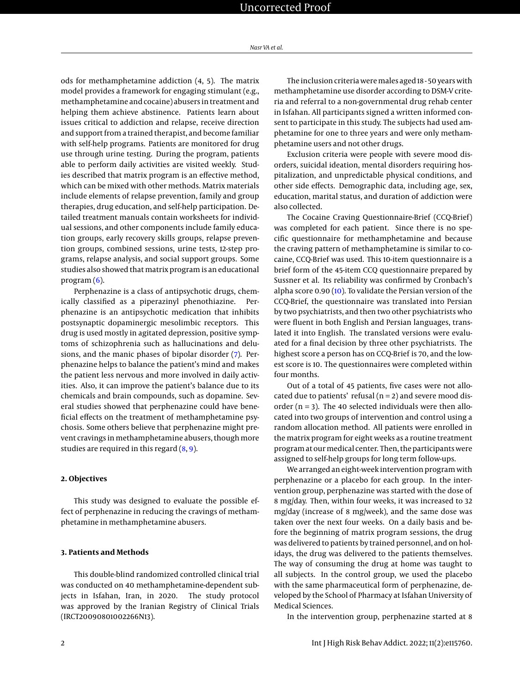ods for methamphetamine addiction (4, 5). The matrix model provides a framework for engaging stimulant (e.g., methamphetamine and cocaine) abusers in treatment and helping them achieve abstinence. Patients learn about issues critical to addiction and relapse, receive direction and support from a trained therapist, and become familiar with self-help programs. Patients are monitored for drug use through urine testing. During the program, patients able to perform daily activities are visited weekly. Studies described that matrix program is an effective method, which can be mixed with other methods. Matrix materials include elements of relapse prevention, family and group therapies, drug education, and self-help participation. Detailed treatment manuals contain worksheets for individual sessions, and other components include family education groups, early recovery skills groups, relapse prevention groups, combined sessions, urine tests, 12-step programs, relapse analysis, and social support groups. Some studies also showed that matrix program is an educational program  $(6)$ .

Perphenazine is a class of antipsychotic drugs, chemically classified as a piperazinyl phenothiazine. Perphenazine is an antipsychotic medication that inhibits postsynaptic dopaminergic mesolimbic receptors. This drug is used mostly in agitated depression, positive symptoms of schizophrenia such as hallucinations and delusions, and the manic phases of bipolar disorder [\(7\)](#page-4-6). Perphenazine helps to balance the patient's mind and makes the patient less nervous and more involved in daily activities. Also, it can improve the patient's balance due to its chemicals and brain compounds, such as dopamine. Several studies showed that perphenazine could have beneficial effects on the treatment of methamphetamine psychosis. Some others believe that perphenazine might prevent cravings in methamphetamine abusers, though more studies are required in this regard  $(8, 9)$  $(8, 9)$  $(8, 9)$ .

# **2. Objectives**

This study was designed to evaluate the possible effect of perphenazine in reducing the cravings of methamphetamine in methamphetamine abusers.

#### **3. Patients and Methods**

This double-blind randomized controlled clinical trial was conducted on 40 methamphetamine-dependent subjects in Isfahan, Iran, in 2020. The study protocol was approved by the Iranian Registry of Clinical Trials (IRCT20090801002266N13).

The inclusion criteria were males aged 18 - 50 years with methamphetamine use disorder according to DSM-V criteria and referral to a non-governmental drug rehab center in Isfahan. All participants signed a written informed consent to participate in this study. The subjects had used amphetamine for one to three years and were only methamphetamine users and not other drugs.

Exclusion criteria were people with severe mood disorders, suicidal ideation, mental disorders requiring hospitalization, and unpredictable physical conditions, and other side effects. Demographic data, including age, sex, education, marital status, and duration of addiction were also collected.

The Cocaine Craving Questionnaire-Brief (CCQ-Brief) was completed for each patient. Since there is no specific questionnaire for methamphetamine and because the craving pattern of methamphetamine is similar to cocaine, CCQ-Brief was used. This 10-item questionnaire is a brief form of the 45-item CCQ questionnaire prepared by Sussner et al. Its reliability was confirmed by Cronbach's alpha score 0.90 [\(10\)](#page-5-0). To validate the Persian version of the CCQ-Brief, the questionnaire was translated into Persian by two psychiatrists, and then two other psychiatrists who were fluent in both English and Persian languages, translated it into English. The translated versions were evaluated for a final decision by three other psychiatrists. The highest score a person has on CCQ-Brief is 70, and the lowest score is 10. The questionnaires were completed within four months.

Out of a total of 45 patients, five cases were not allocated due to patients' refusal ( $n = 2$ ) and severe mood disorder ( $n = 3$ ). The 40 selected individuals were then allocated into two groups of intervention and control using a random allocation method. All patients were enrolled in the matrix program for eight weeks as a routine treatment program at our medical center. Then, the participants were assigned to self-help groups for long term follow-ups.

We arranged an eight-week intervention program with perphenazine or a placebo for each group. In the intervention group, perphenazine was started with the dose of 8 mg/day. Then, within four weeks, it was increased to 32 mg/day (increase of 8 mg/week), and the same dose was taken over the next four weeks. On a daily basis and before the beginning of matrix program sessions, the drug was delivered to patients by trained personnel, and on holidays, the drug was delivered to the patients themselves. The way of consuming the drug at home was taught to all subjects. In the control group, we used the placebo with the same pharmaceutical form of perphenazine, developed by the School of Pharmacy at Isfahan University of Medical Sciences.

In the intervention group, perphenazine started at 8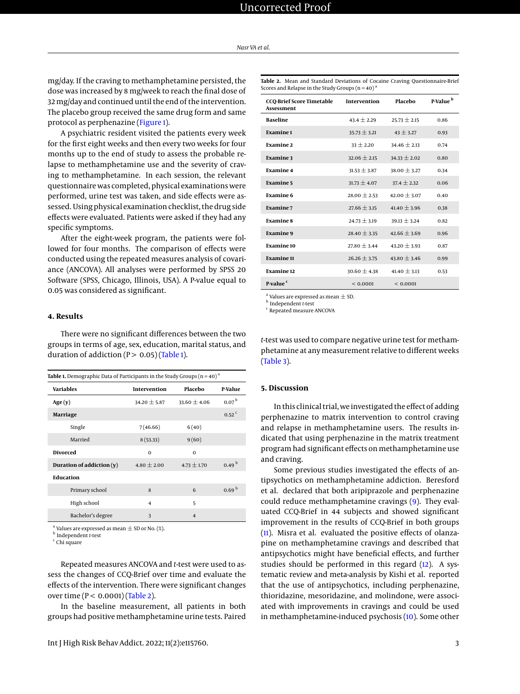mg/day. If the craving to methamphetamine persisted, the dose was increased by 8 mg/week to reach the final dose of 32 mg/day and continued until the end of the intervention. The placebo group received the same drug form and same protocol as perphenazine [\(Figure 1\)](#page-3-0).

A psychiatric resident visited the patients every week for the first eight weeks and then every two weeks for four months up to the end of study to assess the probable relapse to methamphetamine use and the severity of craving to methamphetamine. In each session, the relevant questionnaire was completed, physical examinations were performed, urine test was taken, and side effects were assessed. Using physical examination checklist, the drug side effects were evaluated. Patients were asked if they had any specific symptoms.

After the eight-week program, the patients were followed for four months. The comparison of effects were conducted using the repeated measures analysis of covariance (ANCOVA). All analyses were performed by SPSS 20 Software (SPSS, Chicago, Illinois, USA). A P-value equal to 0.05 was considered as significant.

### **4. Results**

There were no significant differences between the two groups in terms of age, sex, education, marital status, and duration of addiction  $(P > 0.05)$  [\(Table 1\)](#page-2-0).

<span id="page-2-0"></span>

| Table 1. Demographic Data of Participants in the Study Groups ( $n = 40$ ) <sup>a</sup> |                  |                  |                     |  |  |
|-----------------------------------------------------------------------------------------|------------------|------------------|---------------------|--|--|
| <b>Variables</b>                                                                        | Intervention     | Placebo          | P-Value             |  |  |
| Age(y)                                                                                  | $34.20 \pm 5.87$ | $33.60 \pm 4.06$ | 0.07 <sup>b</sup>   |  |  |
| Marriage                                                                                |                  |                  | $0.52$ <sup>c</sup> |  |  |
| Single                                                                                  | 7(46.66)         | 6(40)            |                     |  |  |
| Married                                                                                 | 8(53.33)         | 9(60)            |                     |  |  |
| <b>Divorced</b>                                                                         | $\Omega$         | $\Omega$         |                     |  |  |
| Duration of addiction $(y)$                                                             | $4.80 \pm 2.00$  | $4.73 \pm 1.70$  | 0.49 <sup>b</sup>   |  |  |
| <b>Education</b>                                                                        |                  |                  |                     |  |  |
| Primary school                                                                          | 8                | 6                | 0.69 <sup>b</sup>   |  |  |
| High school                                                                             | 4                | 5                |                     |  |  |
| Bachelor's degree                                                                       | 3                | $\overline{4}$   |                     |  |  |

<sup>a</sup> Values are expressed as mean  $\pm$  SD or No. (%).

b Independent *t*-test

chi square

Repeated measures ANCOVA and *t*-test were used to assess the changes of CCQ-Brief over time and evaluate the effects of the intervention. There were significant changes over time ( $P < 0.0001$ ) [\(Table 2\)](#page-2-1).

In the baseline measurement, all patients in both groups had positive methamphetamine urine tests. Paired <span id="page-2-1"></span>**Table 2.** Mean and Standard Deviations of Cocaine Craving Questionnaire-Brief Scores and Relapse in the Study Groups ( $n = 40$ )

| CCQ-Brief Score Timetable<br>Assessment | Intervention     | Placebo          | P-Value <sup>b</sup> |
|-----------------------------------------|------------------|------------------|----------------------|
| <b>Baseline</b>                         | $43.4 \pm 2.29$  | $25.73 \pm 2.15$ | 0.86                 |
| <b>Examine1</b>                         | $35.73 \pm 3.21$ | $43 \pm 3.27$    | 0.93                 |
| <b>Examine 2</b>                        | $33 \pm 2.20$    | $34.46 \pm 2.13$ | 0.74                 |
| <b>Examine 3</b>                        | $32.06 \pm 2.15$ | $34.33 \pm 2.02$ | 0.80                 |
| <b>Examine 4</b>                        | $31.53 \pm 3.87$ | $38.00 \pm 3.27$ | 0.34                 |
| <b>Examine5</b>                         | $31.73 \pm 4.07$ | $37.4 \pm 2.32$  | 0.06                 |
| <b>Examine 6</b>                        | $28.00 \pm 2.53$ | $42.00 \pm 3.07$ | 0.40                 |
| <b>Examine 7</b>                        | $27.66 \pm 3.15$ | $41.40 \pm 3.96$ | 0.38                 |
| <b>Examine 8</b>                        | $24.73 \pm 3.19$ | $39.13 \pm 3.24$ | 0.82                 |
| <b>Examine 9</b>                        | $28.40 \pm 3.35$ | $42.66 \pm 3.69$ | 0.96                 |
| <b>Examine 10</b>                       | $27.80 \pm 3.44$ | $43.20 \pm 3.93$ | 0.87                 |
| <b>Examine 11</b>                       | $26.26 \pm 3.75$ | $43.80 \pm 3.46$ | 0.99                 |
| <b>Examine 12</b>                       | $30.60 \pm 4.38$ | 41.40 $\pm$ 3.13 | 0.53                 |
| P-value <sup>c</sup>                    | ${}_{0.0001}$    | ${}< 0.0001$     |                      |

a Values are expressed as mean  $\pm$  SD.

b Independent *t*-test

<sup>c</sup> Repeated measure ANCOVA

*t*-test was used to compare negative urine test for methamphetamine at any measurement relative to different weeks [\(Table 3\)](#page-3-1).

#### **5. Discussion**

In this clinical trial, we investigated the effect of adding perphenazine to matrix intervention to control craving and relapse in methamphetamine users. The results indicated that using perphenazine in the matrix treatment program had significant effects on methamphetamine use and craving.

Some previous studies investigated the effects of antipsychotics on methamphetamine addiction. Beresford et al. declared that both aripiprazole and perphenazine could reduce methamphetamine cravings [\(9\)](#page-4-8). They evaluated CCQ-Brief in 44 subjects and showed significant improvement in the results of CCQ-Brief in both groups [\(11\)](#page-5-1). Misra et al. evaluated the positive effects of olanzapine on methamphetamine cravings and described that antipsychotics might have beneficial effects, and further studies should be performed in this regard [\(12\)](#page-5-2). A systematic review and meta-analysis by Kishi et al. reported that the use of antipsychotics, including perphenazine, thioridazine, mesoridazine, and molindone, were associated with improvements in cravings and could be used in methamphetamine-induced psychosis [\(10\)](#page-5-0). Some other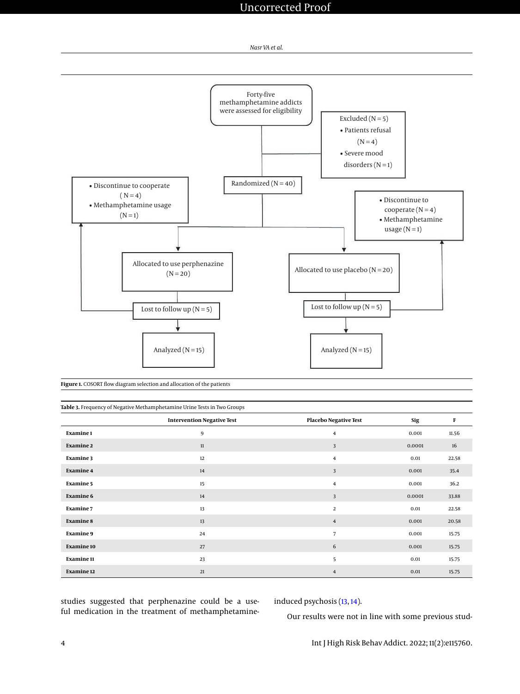

<span id="page-3-0"></span>

**Figure 1.** COSORT flow diagram selection and allocation of the patients

<span id="page-3-1"></span>

| Table 3. Frequency of Negative Methamphetamine Urine Tests in Two Groups |                                   |                              |        |       |  |  |  |
|--------------------------------------------------------------------------|-----------------------------------|------------------------------|--------|-------|--|--|--|
|                                                                          | <b>Intervention Negative Test</b> | <b>Placebo Negative Test</b> | Sig    | F     |  |  |  |
| Examine 1                                                                | 9                                 | $\overline{4}$               | 0.001  | 11.56 |  |  |  |
| <b>Examine 2</b>                                                         | 11                                | 3                            | 0.0001 | 16    |  |  |  |
| <b>Examine 3</b>                                                         | 12                                | $\overline{4}$               | 0.01   | 22.58 |  |  |  |
| <b>Examine 4</b>                                                         | 14                                | 3                            | 0.001  | 35.4  |  |  |  |
| <b>Examine 5</b>                                                         | 15                                | $\overline{4}$               | 0.001  | 36.2  |  |  |  |
| <b>Examine 6</b>                                                         | 14                                | 3                            | 0.0001 | 33.88 |  |  |  |
| <b>Examine 7</b>                                                         | 13                                | $\overline{2}$               | 0.01   | 22.58 |  |  |  |
| <b>Examine 8</b>                                                         | 13                                | $\overline{4}$               | 0.001  | 20.58 |  |  |  |
| <b>Examine 9</b>                                                         | 24                                | $\overline{7}$               | 0.001  | 15.75 |  |  |  |
| Examine 10                                                               | 27                                | 6                            | 0.001  | 15.75 |  |  |  |
| <b>Examine 11</b>                                                        | 23                                | 5                            | 0.01   | 15.75 |  |  |  |
| <b>Examine 12</b>                                                        | 21                                | $\overline{4}$               | 0.01   | 15.75 |  |  |  |

studies suggested that perphenazine could be a useful medication in the treatment of methamphetamineinduced psychosis [\(13,](#page-5-3) [14\)](#page-5-4).

Our results were not in line with some previous stud-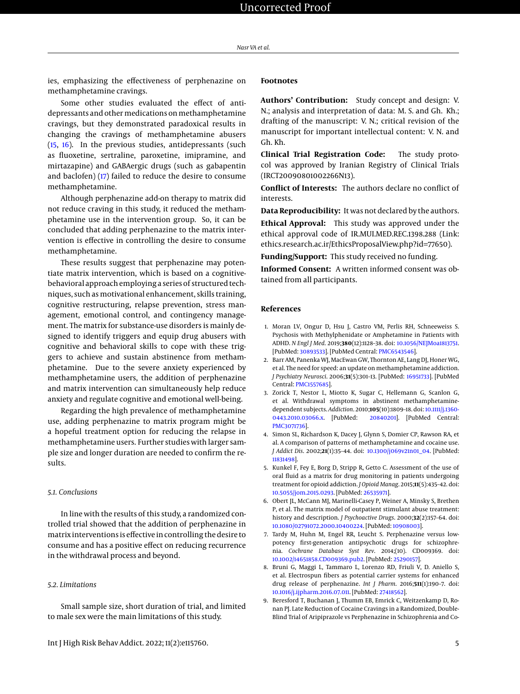ies, emphasizing the effectiveness of perphenazine on methamphetamine cravings.

Some other studies evaluated the effect of antidepressants and other medications on methamphetamine cravings, but they demonstrated paradoxical results in changing the cravings of methamphetamine abusers [\(15,](#page-5-5) [16\)](#page-5-6). In the previous studies, antidepressants (such as fluoxetine, sertraline, paroxetine, imipramine, and mirtazapine) and GABAergic drugs (such as gabapentin and baclofen) [\(17\)](#page-5-7) failed to reduce the desire to consume methamphetamine.

Although perphenazine add-on therapy to matrix did not reduce craving in this study, it reduced the methamphetamine use in the intervention group. So, it can be concluded that adding perphenazine to the matrix intervention is effective in controlling the desire to consume methamphetamine.

These results suggest that perphenazine may potentiate matrix intervention, which is based on a cognitivebehavioral approach employing a series of structured techniques, such as motivational enhancement, skills training, cognitive restructuring, relapse prevention, stress management, emotional control, and contingency management. The matrix for substance-use disorders is mainly designed to identify triggers and equip drug abusers with cognitive and behavioral skills to cope with these triggers to achieve and sustain abstinence from methamphetamine. Due to the severe anxiety experienced by methamphetamine users, the addition of perphenazine and matrix intervention can simultaneously help reduce anxiety and regulate cognitive and emotional well-being.

Regarding the high prevalence of methamphetamine use, adding perphenazine to matrix program might be a hopeful treatment option for reducing the relapse in methamphetamine users. Further studies with larger sample size and longer duration are needed to confirm the results.

#### *5.1. Conclusions*

In line with the results of this study, a randomized controlled trial showed that the addition of perphenazine in matrix interventions is effective in controlling the desire to consume and has a positive effect on reducing recurrence in the withdrawal process and beyond.

#### *5.2. Limitations*

Small sample size, short duration of trial, and limited to male sex were the main limitations of this study.

# **Footnotes**

**Authors' Contribution:** Study concept and design: V. N.; analysis and interpretation of data: M. S. and Gh. Kh.; drafting of the manuscript: V. N.; critical revision of the manuscript for important intellectual content: V. N. and Gh. Kh.

**Clinical Trial Registration Code:** The study protocol was approved by Iranian Registry of Clinical Trials (IRCT20090801002266N13).

**Conflict of Interests:** The authors declare no conflict of interests.

**Data Reproducibility:** It was not declared by the authors.

**Ethical Approval:** This study was approved under the ethical approval code of IR.MUI.MED.REC.1398.288 (Link: ethics.research.ac.ir/EthicsProposalView.php?id=77650).

**Funding/Support:** This study received no funding.

**Informed Consent:** A written informed consent was obtained from all participants.

#### **References**

- <span id="page-4-0"></span>1. Moran LV, Ongur D, Hsu J, Castro VM, Perlis RH, Schneeweiss S. Psychosis with Methylphenidate or Amphetamine in Patients with ADHD. *N Engl J Med*. 2019;**380**(12):1128–38. doi: [10.1056/NEJMoa1813751.](http://dx.doi.org/10.1056/NEJMoa1813751) [PubMed: [30893533\]](http://www.ncbi.nlm.nih.gov/pubmed/30893533). [PubMed Central: [PMC6543546\]](https://www.ncbi.nlm.nih.gov/pmc/articles/PMC6543546).
- <span id="page-4-1"></span>2. Barr AM, Panenka WJ, MacEwan GW, Thornton AE, Lang DJ, Honer WG, et al. The need for speed: an update on methamphetamine addiction. *J Psychiatry Neurosci*. 2006;**31**(5):301–13. [PubMed: [16951733\]](http://www.ncbi.nlm.nih.gov/pubmed/16951733). [PubMed Central: [PMC1557685\]](https://www.ncbi.nlm.nih.gov/pmc/articles/PMC1557685).
- <span id="page-4-2"></span>3. Zorick T, Nestor L, Miotto K, Sugar C, Hellemann G, Scanlon G, et al. Withdrawal symptoms in abstinent methamphetaminedependent subjects. *Addiction*. 2010;**105**(10):1809–18. doi: [10.1111/j.1360-](http://dx.doi.org/10.1111/j.1360-0443.2010.03066.x) [0443.2010.03066.x.](http://dx.doi.org/10.1111/j.1360-0443.2010.03066.x) [PubMed: [20840201\]](http://www.ncbi.nlm.nih.gov/pubmed/20840201). [PubMed Central: [PMC3071736\]](https://www.ncbi.nlm.nih.gov/pmc/articles/PMC3071736).
- <span id="page-4-3"></span>4. Simon SL, Richardson K, Dacey J, Glynn S, Domier CP, Rawson RA, et al. A comparison of patterns of methamphetamine and cocaine use. *J Addict Dis*. 2002;**21**(1):35–44. doi: [10.1300/j069v21n01\\_04.](http://dx.doi.org/10.1300/j069v21n01_04) [PubMed: [11831498\]](http://www.ncbi.nlm.nih.gov/pubmed/11831498).
- <span id="page-4-4"></span>5. Kunkel F, Fey E, Borg D, Stripp R, Getto C. Assessment of the use of oral fluid as a matrix for drug monitoring in patients undergoing treatment for opioid addiction. *J Opioid Manag*. 2015;**11**(5):435–42. doi: [10.5055/jom.2015.0293.](http://dx.doi.org/10.5055/jom.2015.0293) [PubMed: [26535971\]](http://www.ncbi.nlm.nih.gov/pubmed/26535971).
- <span id="page-4-5"></span>6. Obert JL, McCann MJ, Marinelli-Casey P, Weiner A, Minsky S, Brethen P, et al. The matrix model of outpatient stimulant abuse treatment: history and description. *J Psychoactive Drugs*. 2000;**32**(2):157–64. doi: [10.1080/02791072.2000.10400224.](http://dx.doi.org/10.1080/02791072.2000.10400224) [PubMed: [10908003\]](http://www.ncbi.nlm.nih.gov/pubmed/10908003).
- <span id="page-4-6"></span>7. Tardy M, Huhn M, Engel RR, Leucht S. Perphenazine versus lowpotency first-generation antipsychotic drugs for schizophrenia. *Cochrane Database Syst Rev*. 2014;(10). CD009369. doi: [10.1002/14651858.CD009369.pub2.](http://dx.doi.org/10.1002/14651858.CD009369.pub2) [PubMed: [25290157\]](http://www.ncbi.nlm.nih.gov/pubmed/25290157).
- <span id="page-4-7"></span>8. Bruni G, Maggi L, Tammaro L, Lorenzo RD, Friuli V, D. Aniello S, et al. Electrospun fibers as potential carrier systems for enhanced drug release of perphenazine. *Int J Pharm*. 2016;**511**(1):190–7. doi: [10.1016/j.ijpharm.2016.07.011.](http://dx.doi.org/10.1016/j.ijpharm.2016.07.011) [PubMed: [27418562\]](http://www.ncbi.nlm.nih.gov/pubmed/27418562).
- <span id="page-4-8"></span>9. Beresford T, Buchanan J, Thumm EB, Emrick C, Weitzenkamp D, Ronan PJ. Late Reduction of Cocaine Cravings in a Randomized, Double-Blind Trial of Aripiprazole vs Perphenazine in Schizophrenia and Co-